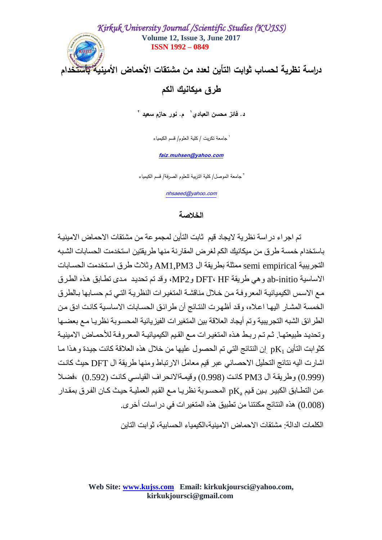

# **طرق ميكانيك الكم**

**<sup>1</sup>د. فائز محسن العبادي 2 م. نور حازم سعيد**

1 جامعة تكريت / كمية العموم/ قسم الكيمياء

**[faiz.muhsen@yahoo.com](mailto:faiz.muhsen@yahoo.com)**

2 جامعة الموصل/ كمية التربية لمعموم الصرفة/ قسم الكيمياء

[nhsaeed@yahoo.com](mailto:nhsaeed@yahoo.com)

### **الخالصة**

تم اجر اء در اسة نظر ية لايجاد قيم ثابت التأين لمجمو عة من مشتقات الاحماض الامينية باستخدام خمسة طر ق من ميكانيك الكم لغر ض المقار نة منها طر يقتين استخدمت الحسابات الشبه التجر ببية semi empirical ممثلة بطر بقة ال AM1.PM3 و ثلاث طر ق استخدمت الحسابات الاساسية ab-initio وهي طريقة DFT، HF وMP2، وقد تم تحديد مدى تطابق هذه الطرق مع الاسس الكيميائيـة المعر وفـة مـن خـلال مناقشـة المتغيـر ات النظر يـة التـي تـم حسـابـها بـالطر ق الُخمسة المشار البِها اعلاه، وقد أُظهر ت النتائج أن طر ائق الحسابات الاساسية كانت ادق من الطر ائق الشبه التجر بببة و تم أبجاد العلاقة بين المتغبر ات الفبز بائبة المحسو بة نظر بـا مـع بعضـها وتحديد طبيعتهـا. ثـم تـم ربـط هذه المتغيرات مـع القيم الكيميائيـة المعروفـة للأحمـاض الامينيـة كثوابت التأين  $\rm pK_1$  إن النتائج التي تم الحصول عليها من خلال هذه العلاقة كانت جيدة و هذا مـا اشارت اليه نتائج التحليل الاحصائي عبر قيم معامل الارتباط ومنها طريقة ال DFT حيث كانت (0.999) وطريقة ال PM3 كانت (0.998) وقيمةالأنحراف القياسي كانت (0.592) ،فضلا عن التطـابق الكبيـر بـين قيم  $\rm{pK_a}$  المحسـوبة نظريـا مـع القيم العمليـة حيـث كـان الفـرق بمقدار (0.008)) هذه النتائج مكنتنا من تطبيق هذه المتغير ات في در اسات أخر ي.

الكلمات الدالة· مشتقات الأحماض الإمىنية،الكيمياء الحسابية، ثو ابت التابن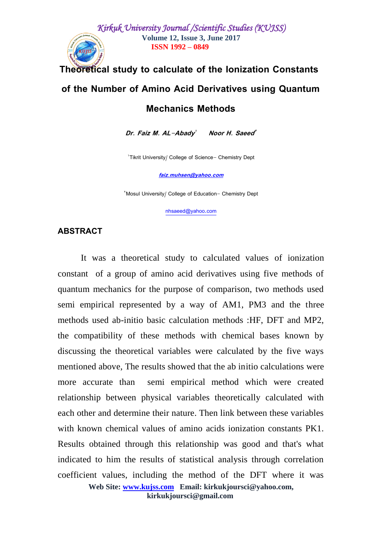## **Theoretical study to calculate of the Ionization Constants**

## **of the Number of Amino Acid Derivatives using Quantum**

### **Mechanics Methods**

**Dr. Faiz M. AL-Abady 1 Noor H. Saeed 2**

'Tikrit University/ College of Science- Chemistry Dept

**[faiz.muhsen@yahoo.com](mailto:faiz.muhsen@yahoo.com)**

<sup>Y</sup>Mosul University/ College of Education- Chemistry Dept

[nhsaeed@yahoo.com](mailto:nhsaeed@yahoo.com)

### **ABSTRACT**

It was a theoretical study to calculated values of ionization constant of a group of amino acid derivatives using five methods of quantum mechanics for the purpose of comparison, two methods used semi empirical represented by a way of AM1, PM3 and the three methods used ab-initio basic calculation methods :HF, DFT and MP2, the compatibility of these methods with chemical bases known by discussing the theoretical variables were calculated by the five ways mentioned above, The results showed that the ab initio calculations were more accurate than semi empirical method which were created relationship between physical variables theoretically calculated with each other and determine their nature. Then link between these variables with known chemical values of amino acids ionization constants PK1. Results obtained through this relationship was good and that's what indicated to him the results of statistical analysis through correlation coefficient values, including the method of the DFT where it was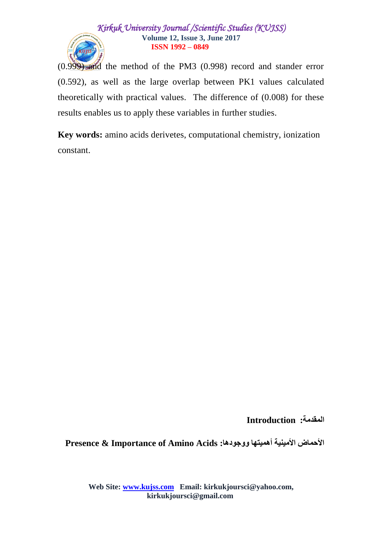

(0.999) and the method of the PM3 (0.998) record and stander error (0.592), as well as the large overlap between PK1 values calculated theoretically with practical values. The difference of (0.008) for these results enables us to apply these variables in further studies.

**Key words:** amino acids derivetes, computational chemistry, ionization constant.

**المقدمة: Introduction**

**Presence & Importance of Amino Acids :ووجىدها أهميحها األمينية األحماض**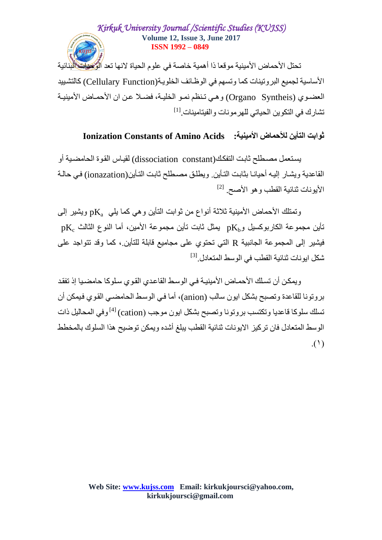تحتل الأحماض الأمينية موقعا ذا أهمية خاصة في علوم الحياة لانها تعد الرُّكِطات الَّذِنائية الأساسية لجميع البر و تينات كما و تسهم في الو ظـائف الخلو يـة(Cellulary Function) كالتشبيد العضوى (Organo Syntheis) وهي تنظم نمو الخليـة، فضـلا عن ان الأحمـاض الأمينيـة تشارك في التكوين الحياتي للهرمونات والفيتامينات.<sup>[1]</sup>

# **Ionization Constants of Amino Acids :األمينية لألحماض الحأين ثىاتث**

يستعمل مصطلح ثَابت التفكك(dissociation constant) لقيـاس القوة الحامضية أو الْقاعدية ويشار إليه أحيانـا بِثابت التـأين. ويطلق مصـطلح ثابت التـأين(ionazation) في حالـة الأيونات ثنائية القطب وهو الأصبح. <sup>[2]</sup>

وتمتلك الأحماض الأمينية ثلاثة أنواع من ثوابت التأين و هي كما يلي  $\rm{pK_a}$  ويشير إلى  $p{\rm K}_{\rm e}$  تأين مجموعة الكاربوكسيل و ${\rm K}_{\rm b}$  يمثل ثابت تأين مجموعة الأمين، أما النوع الثالث فيشير إلى المجموعة الجانبية R التي تحتوي على مجاميع قابلة للتأين.، كما وقد تتواجد على شكل ايونات ثنائية القطب في الوسط المتعادل<sub>.</sub><sup>[3]</sup>

و بمكن أن تسلك الأحمـاض الأمبنبـة فـي الوسط القاعدي القوى سلو كا حامضبـا إذ تفقد بروتونا للقاعدة وتصبح بشكل ايون سالب (anion)، أما في الوسط الحامضـي القوى فيمكن أن تسلك سلوكا فاعديا وتكتسب بروتونا وتصبح بشكل ايون موجب (cation) ل<sup>4]</sup> وفي المحاليل ذات الوسط المتعادل فان تركيز الايونات ثنائية القطب يبلغ أشده ويمكن توضيح هذا السلوك بالمخطط  $\Lambda$ ( $\Lambda$ )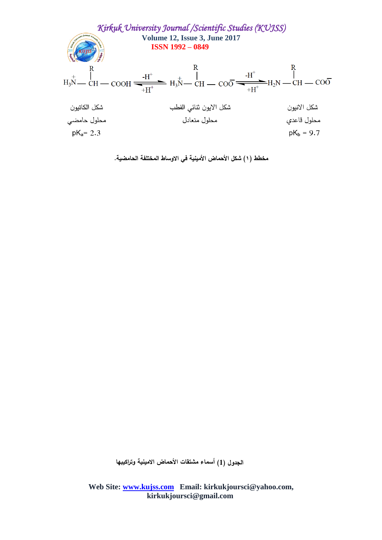

**مخطط )1( شكل األحماض األمينية في االوساط المختمفة الحامضية.**

**الجدول )1( أسماء مشتقات األحماض االمينية وتراكيبها**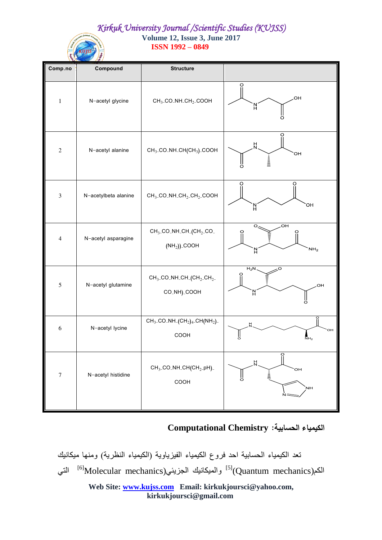**ISSN 1992 – 0849**

| Comp.no          | Compound             | <b>Structure</b>                                                                                                |                                                           |
|------------------|----------------------|-----------------------------------------------------------------------------------------------------------------|-----------------------------------------------------------|
| $\mathbf{1}$     | N-acetyl glycine     | $CH3$ -CO <sub>-</sub> NH <sub>-CH<sub>2</sub>-COOH</sub>                                                       | O<br>OH<br>N<br>O                                         |
| $\sqrt{2}$       | N-acetyl alanine     | CH <sub>3</sub> -CO <sub>-</sub> NH <sub>-CH</sub> (CH <sub>3</sub> )-COOH                                      | $\frac{H}{N}$<br>OН<br>lllinin<br>E<br>ll<br>Ö            |
| $\mathfrak{Z}$   | N-acetylbeta alanine | $CH3$ -CO <sub>-</sub> NH <sub>-CH<sub>2</sub>-CH<sub>2</sub>-COOH</sub>                                        | O<br>O<br>OH.<br>N<br>H                                   |
| 4                | N-acetyl asparagine  | $CH3$ -CO <sub>-</sub> NH <sub>-CH</sub> <sub>-CH<sub>2</sub>-CO<sub>-</sub></sub><br>$(NH2))$ <sub>-COOH</sub> | OH.<br>$\mathbf{O}_1$<br>O<br>NH <sub>2</sub><br>Ν        |
| $\sqrt{5}$       | N-acetyl glutamine   | $CH_3$ <sub>-CO</sub> -NH <sub>-CH</sub> <sub>(CH<sub>2</sub>-CH<sub>2</sub>-</sub><br>CO_NH)_COOH              | $H_2N$<br>OH<br>ö                                         |
| 6                | N-acetyl lycine      | $CH_3$ -CO-NH <sub>-</sub> (CH <sub>2</sub> ) <sub>4</sub> -CH(NH <sub>2</sub> )-<br>COOH                       | 뷰<br>OH<br>δ<br>$\overline{\mathrm{NH}}_{2}$              |
| $\boldsymbol{7}$ | N-acetyl histidine   | $CH3$ -CO <sub>-</sub> NH <sub>-</sub> CH <sub>(CH<sub>2-</sub>pH)<sub>-</sub></sub><br>COOH                    | ö<br>$\overline{\mathsf{N}}$<br>ЮH<br>Å<br>ő<br><b>NH</b> |

**الكيمياء الحسابية: Chemistry Computational**

تعد الكيمياء الحسابية احد فروع الكيمياء الفيزياوية (الكيمياء النظرية) ومنها ميكانيك الكم(Quantum mechanics) والميكانيك الجزيئي (<sup>6]</sup>Molecular mechanics التي ا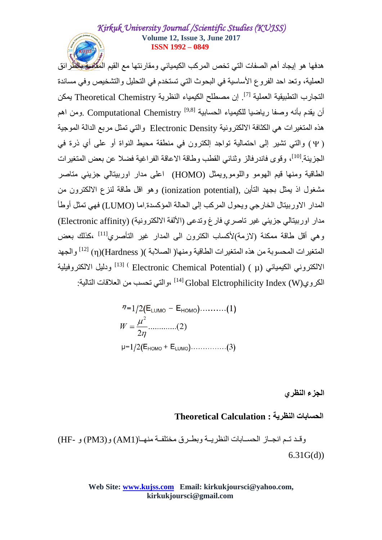هدفها هو إيجاد أهم الصفات التي تخص المركب الكيميائي ومقارنتها مع القيم المُقَا<del>لِمِيَّ بِال</del>ْظُّرِ ائق العملية، وتعد احد الفر و ع الأساسية في البحوث التي تستخدم في التحليل و التشخيص و في مساندة التجارب التطبيقية العملية <sup>[7]</sup>. إن مصطلح الكيمياء النظرية Theoretical Chemistry يمكن أن يقدم بأنه وصفا رياضيا للكيمياء الحسابية Computational Chemistry <sup>[9,8]</sup> .ومن اهم هذه المتغير ات هي الكثافة الالكترونية Electronic Density والتي تمثل مربع الدالة الموجية ( Ψ ) والتي تشير إلى احتمالية تواجد إلكترون في منطقة محيط النواة أو على أي ذرة في الْجِزِ بِئَةِ [10]، وقوى فاندر فالز ۖ وثَّنائي القطب وطاقة الاعاقة الفر اغبة فضلا عن بعض المتغير ات الطاقية ومنها قيم الهومو واللومو,ويمثل (HOMO) اعلى مدار اوربيتالي جزيئي متاصر مشغول اذ يمثِّل بجهد التأين (ionization potential) وهو اقل طاقة لنزع الإلكترون من المدار الأوربيتال الخارجي ويحول المركب إلى الحالة المؤكسدة إما (LUMO) فهي تمثل أوطأ مدار اور بيتالي جزبئي غير تاصري فارغ وتدعى (الألفة الإلكترونية) (Electronic affinity) و هي أقل طاقة ممكنة (لازمة)لأكساب الكترون الي المدار غير التأصري<sup>[11]</sup> ،كذلك بعض المتغيرات المحسوبة من هذه المتغيرات الطاقية ومنها( الصلابة )( m)(Hardness) (η) لِ<sup>12]</sup> والجهد الالكتروني الكيميائي (Electronic Chemical Potential) ( µ) ودَليل الالكتروفيلية الكروي(Global Elctrophilicity Index (W) ،والتي تحسب من العلاقات التالية:

$$
\eta = 1/2(E_{LUMO} - E_{HOMO}) \dots (1)
$$
  
\n
$$
W = \frac{\mu^{2}}{2\eta} \dots (2)
$$
  
\n
$$
\mu = 1/2(E_{HOMO} + E_{LUMO}) \dots (3)
$$

**الجزء النظري**

**الحساتات النظرية : Calculation Theoretical**

وقد تـم انجـاز الحسـابات النظر بـة وبطـر ق مختلفـة منهـا(AM1) و (PM3) و -HF) 6.31G(d))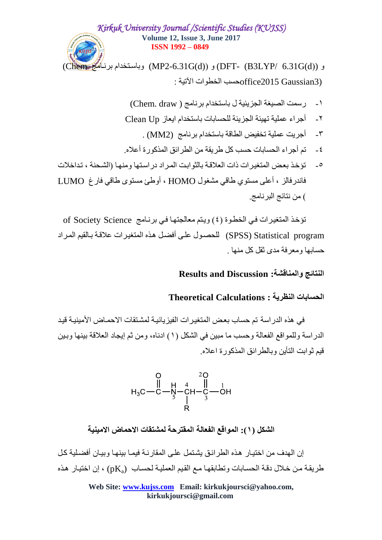و (DFT- (B3LYP/ 6.31G(d)) و (MP2-6.31G(d)) وباستخدام برناهُمُجَ (Chem  $\cdot$  حسب الخطو ات الآتية $\rm{of}$ fice2015  $\rm{Gaussian}$ 3)

- ا- رسمت الصيغة الجزيئية ل باستخدام برنامج ( Chem. draw)
- ٢- أجراء عملية تهيئة الجزيئة للحسابات باستخدام ايعاز Clean Up
	- ٣- أجريت عملية تخفيض الطاقة باستخدام برنامج (2MM) .
- ٤ تم أجر اء الحسابات حسب كل طر يقة من الطر ائق المذكور ة أُعلاه.
- 0- تؤخذ بعض المتغير ات ذات العلاقة بالثوابت المراد در استها ومنها (الشحنة ، تداخلات فاندر فالز ، أعلي مستوى طاقي مشغول HOMO ، أوطئ مستوى طاقي فارغ LUMO ) من نتائج البر نامج

تؤخذ المتغيرات في الخطوة (٤) ويتم معالجتها في برنـامج of Society Science SPSS) Statistical program) للحصبول على أفضل هذه المتغير ات علاقة بِالقيم المر اد حسابها و معر فة مدى ثقل كل منها

### **Results and Discussion :والمناقشة النحائج**

### **الحساتات النظرية : Calculations Theoretical**

في هذه الدر اسة تم حساب بعض المتغير ات الفيز يائية لمشتقات الاحمـاض الأمينيـة قيد الدر اسة وِللمو اقع الفعالة وحسب ما مبين في الشكل (١) ادناه، ومن ثم إيجاد العلاقة بينها وبين قبِم ثو ابت التأبن و بالطر ائق المذكور ة اعلام

$$
\begin{array}{c|c}\n & 0 & 20 \\
 & \parallel & H & 4 & \parallel \\
H_3C - C - N & - CH - C & -OH \\
 & & \parallel & 3\n\end{array}
$$

الشكل (١): المواقع الفعالة المقترحة لمشتقات الاحماض الامينية

إن الْهِدف مِن اختبـار ِ هذه الطر ائـق بِشتمل علـي المقار نـة فبمـا ببنـهـا و ببـان أفضـلبـة كل ظر بِقة من خلال دقة الحسابات و تطابقها مع القيم العملية لحساب ((pKa) ، إن اختيار هذه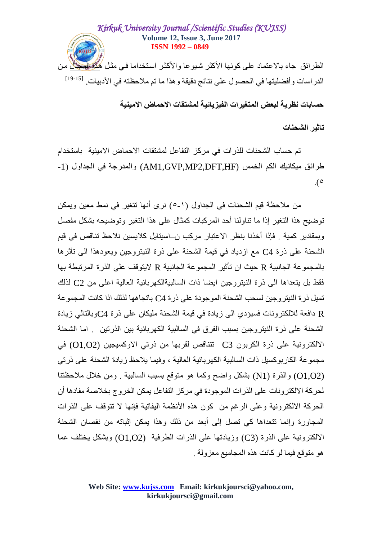# *Kirkuk University Journal /Scientific Studies (KUJSS)* **Volume 12, Issue 3, June 2017 ISSN 1992 – 0849** الطرائق جاء بالاعتماد على كونها الأكثر شبوعا والأكثر استخداما في مثل ه<del>ُنَّاء لِهُ وَ</del>اللَّا مِن الدر اسات و أفضليتها في الحصول على نتائج دقيقة و هذا ما تم ملاحظته في الأدبيات. <sup>[15-19]</sup>

**حساتات نظرية لثعط المحغيرات الفيزيائية لمشحقات االحماض االمينية** 

### **جاثير الشحنات**

تم حساب الشحنات للذر ات في مركز التفاعل لمشتقات الاحماض الامبنبة باستخدام غز ائق ميكانيك الكم الخمس (AM1.GVP.MP2.DFT.HF) والمدرجة في الجداول (1- $\cdot$ <sup>o</sup>

من ملاحظة قيم الشحنات في الجداول (١-٥) نرى أنها تتغير في نمط معين ويمكن تو ضبح هذا التغير ۖ إذا ما تناولنا أحد المر كبات كمثال على هذا التغير ۖ وتو ضبحه بشكل مفصلٍ وبمقادير كمية . فإذا أخذنا بنظر الاعتبار مركب ن–اسيتايل كلايسين نلاحظ تناقص في قيم الشحنة على ذر ة C4 مع از دياد في قيمة الشحنة على ذر ة النيتر و جين و يعودهذا الى تأثر ها بالمجموعة الجانبية R حيث ان تأثير المجموعة الجانبية R لايتوقف على الذرة المرتبطة بها فقط بل بِتعداها الى ذرة النيتروجين ايضا ذات السالبيةالكهربائية العالية اعلى من C2 لذلك تمبل ذر ة النبتر و جبن لسحب الشحنة الموجودة على ذر ة C4 باتجاهها لذلك اذا كانت المجمو عة R دافعة للالكترونات فسيؤدي الى زيادة في قيمة الشحنة مليكان على ذرة C4وبالتالي زيادة الشحنة على ذر ة النيتر وِجين بسبب الفرق في السالبية الكهر بائية بين الذربتين اما الشحنة الالكترونية على ذرة الكربون C3 نتناقص لقربها من ذرتي الأوكسيجين (O1,O2) في مجموعة الكاربوكسيل ذات السالبية الكهربائية العالية ، وفيما يلاحظ زيادة الشحنة على ذرتي (O1,O2) والذرة (N1) بشكل واضح وكما هو متوقع بسبب السالبية ٍ ومِن خلالٍ ملاحظتنا لحر كة الإلكتر و نات على الذر ات الموجودة في مر كز النفاعل بمكن الخر و ج بخلاصة مفادها أن الْحِرِ كَةَ الْأَلكتر ونيةً و على الرُّ غم من كون هذه الأنظمة اليفاتية فإنها لا تتوقف على الذر ات المجاورة وإنما تتعداها كي تصل إلى أبعد من ذلك وهذا يمكن إثباته من نقصان الشحنة الالكترونية على الذرة (C3) وزيادتها على الذرات الطرفية (O1,O2) وبشكل بختلف عما هو متوقع فيما لو كانت هذه المجاميع معزولة .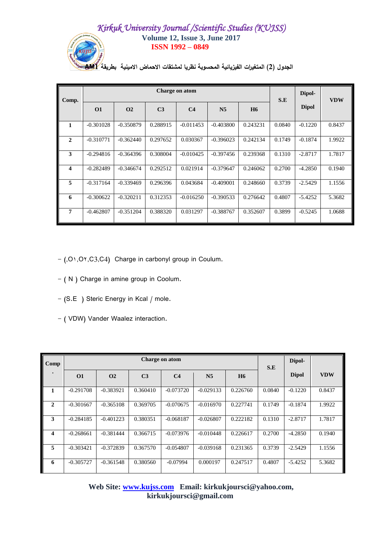

**الجدول )2( المتغيرات الفيزيائية المحسوبة نظريا لمشتقات االحماض االمينية بطريقة 1AM**

| Comp.                   |             |             |                | Charge on atom |                |           | S.E    | Dipol-       | <b>VDW</b> |
|-------------------------|-------------|-------------|----------------|----------------|----------------|-----------|--------|--------------|------------|
|                         | <b>O1</b>   | $\Omega$    | C <sub>3</sub> | C <sub>4</sub> | N <sub>5</sub> | <b>H6</b> |        | <b>Dipol</b> |            |
| 1                       | $-0.301028$ | $-0.350879$ | 0.288915       | $-0.011453$    | $-0.403800$    | 0.243231  | 0.0840 | $-0.1220$    | 0.8437     |
| $\mathbf{2}$            | $-0.310771$ | $-0.362440$ | 0.297652       | 0.030367       | $-0.396023$    | 0.242134  | 0.1749 | $-0.1874$    | 1.9922     |
| 3                       | $-0.294816$ | $-0.364396$ | 0.308004       | $-0.010425$    | $-0.397456$    | 0.239368  | 0.1310 | $-2.8717$    | 1.7817     |
| $\overline{\mathbf{4}}$ | $-0.282489$ | $-0.346674$ | 0.292512       | 0.021914       | $-0.379647$    | 0.246062  | 0.2700 | $-4.2850$    | 0.1940     |
| 5                       | $-0.317164$ | $-0.339469$ | 0.296396       | 0.043684       | $-0.409001$    | 0.248660  | 0.3739 | $-2.5429$    | 1.1556     |
| 6                       | $-0.300622$ | $-0.320211$ | 0.312353       | $-0.016250$    | $-0.390533$    | 0.276642  | 0.4807 | $-5.4252$    | 5.3682     |
| $\overline{7}$          | $-0.462807$ | $-0.351204$ | 0.388320       | 0.031297       | $-0.388767$    | 0.352607  | 0.3899 | $-0.5245$    | 1.0688     |

- (,O1,O1,C3,C4) Charge in carbonyl group in Coulum.

- ( N ) Charge in amine group in Coolum.
- (S.E ) Steric Energy in Kcal / mole.
- ( VDW) Vander Waalez interaction.

| Comp                    |             |             |                | Charge on atom |                |           | S.E    | Dipol-       |            |
|-------------------------|-------------|-------------|----------------|----------------|----------------|-----------|--------|--------------|------------|
|                         | $\Omega$    | $\Omega$    | C <sub>3</sub> | C <sub>4</sub> | N <sub>5</sub> | <b>H6</b> |        | <b>Dipol</b> | <b>VDW</b> |
| 1                       | $-0.291708$ | $-0.383921$ | 0.360410       | $-0.073720$    | $-0.029133$    | 0.226760  | 0.0840 | $-0.1220$    | 0.8437     |
| $\mathbf{2}$            | $-0.301667$ | $-0.365108$ | 0.369705       | $-0.070675$    | $-0.016970$    | 0.227741  | 0.1749 | $-0.1874$    | 1.9922     |
| 3                       | $-0.284185$ | $-0.401223$ | 0.380351       | $-0.068187$    | $-0.026807$    | 0.222182  | 0.1310 | $-2.8717$    | 1.7817     |
| $\overline{\mathbf{4}}$ | $-0.268661$ | $-0.381444$ | 0.366715       | $-0.073976$    | $-0.010448$    | 0.226617  | 0.2700 | $-4.2850$    | 0.1940     |
| 5                       | $-0.303421$ | $-0.372839$ | 0.367570       | $-0.054807$    | $-0.039168$    | 0.231365  | 0.3739 | $-2.5429$    | 1.1556     |
| 6                       | $-0.305727$ | $-0.361548$ | 0.380560       | $-0.07994$     | 0.000197       | 0.247517  | 0.4807 | $-5.4252$    | 5.3682     |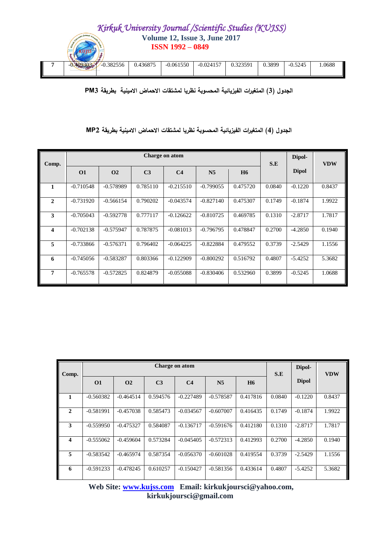

**الجدول )3( المتغيرات الفيزيائية المحسوبة نظريا لمشتقات االحماض االمينية بطريقة 3PM**

### **الجدول )4( المتغيرات الفيزيائية المحسوبة نظريا لمشتقات االحماض االمينية بطريقة 2MP**

| Comp.          |             |             |                | Charge on atom |                |           | S.E    | Dipol-       | <b>VDW</b> |
|----------------|-------------|-------------|----------------|----------------|----------------|-----------|--------|--------------|------------|
|                | <b>O1</b>   | $\Omega$    | C <sub>3</sub> | C <sub>4</sub> | N <sub>5</sub> | <b>H6</b> |        | <b>Dipol</b> |            |
| 1              | $-0.710548$ | $-0.578989$ | 0.785110       | $-0.215510$    | $-0.799055$    | 0.475720  | 0.0840 | $-0.1220$    | 0.8437     |
| $\overline{2}$ | $-0.731920$ | $-0.566154$ | 0.790202       | $-0.043574$    | $-0.827140$    | 0.475307  | 0.1749 | $-0.1874$    | 1.9922     |
| 3              | $-0.705043$ | $-0.592778$ | 0.777117       | $-0.126622$    | $-0.810725$    | 0.469785  | 0.1310 | $-2.8717$    | 1.7817     |
| 4              | $-0.702138$ | $-0.575947$ | 0.787875       | $-0.081013$    | $-0.796795$    | 0.478847  | 0.2700 | $-4.2850$    | 0.1940     |
| 5              | $-0.733866$ | $-0.576371$ | 0.796402       | $-0.064225$    | $-0.822884$    | 0.479552  | 0.3739 | $-2.5429$    | 1.1556     |
| 6              | $-0.745056$ | $-0.583287$ | 0.803366       | $-0.122909$    | $-0.800292$    | 0.516792  | 0.4807 | $-5.4252$    | 5.3682     |
| 7              | $-0.765578$ | $-0.572825$ | 0.824879       | $-0.055088$    | $-0.830406$    | 0.532960  | 0.3899 | $-0.5245$    | 1.0688     |

| Comp.                   |             |             |                | Charge on atom |                |                      | S.E    | Dipol-       | <b>VDW</b> |
|-------------------------|-------------|-------------|----------------|----------------|----------------|----------------------|--------|--------------|------------|
|                         | <b>O1</b>   | $\Omega$    | C <sub>3</sub> | C <sub>4</sub> | N <sub>5</sub> | <b>H<sub>6</sub></b> |        | <b>Dipol</b> |            |
| 1                       | $-0.560382$ | $-0.464514$ | 0.594576       | $-0.227489$    | $-0.578587$    | 0.417816             | 0.0840 | $-0.1220$    | 0.8437     |
| $\overline{2}$          | $-0.581991$ | $-0.457038$ | 0.585473       | $-0.034567$    | $-0.607007$    | 0.416435             | 0.1749 | $-0.1874$    | 1.9922     |
| 3                       | $-0.559950$ | $-0.475327$ | 0.584087       | $-0.136717$    | $-0.591676$    | 0.412180             | 0.1310 | $-2.8717$    | 1.7817     |
| $\overline{\mathbf{4}}$ | $-0.555062$ | $-0.459604$ | 0.573284       | $-0.045405$    | $-0.572313$    | 0.412993             | 0.2700 | $-4.2850$    | 0.1940     |
| 5                       | $-0.583542$ | $-0.465974$ | 0.587354       | $-0.056370$    | $-0.601028$    | 0.419554             | 0.3739 | $-2.5429$    | 1.1556     |
| 6                       | $-0.591233$ | $-0.478245$ | 0.610257       | $-0.150427$    | $-0.581356$    | 0.433614             | 0.4807 | $-5.4252$    | 5.3682     |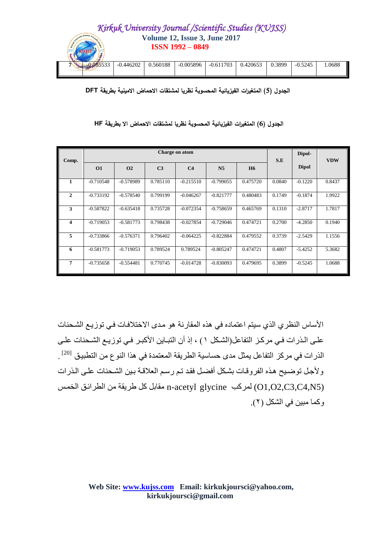

**الجدول )5( المتغيرات الفيزيائية المحسوبة نظريا لمشتقات االحماض االمينية بطريقة DFT**

| Comp.                   |             |                |                | Charge on atom |                |           | S.E    | Dipol-       | <b>VDW</b> |
|-------------------------|-------------|----------------|----------------|----------------|----------------|-----------|--------|--------------|------------|
|                         | <b>O1</b>   | O <sub>2</sub> | C <sub>3</sub> | C <sub>4</sub> | N <sub>5</sub> | <b>H6</b> |        | <b>Dipol</b> |            |
| 1                       | $-0.710548$ | $-0.578989$    | 0.785110       | $-0.215510$    | $-0.799055$    | 0.475720  | 0.0840 | $-0.1220$    | 0.8437     |
| $\mathbf{2}$            | $-0.733192$ | $-0.578540$    | 0.799199       | $-0.046267$    | $-0.821777$    | 0.480483  | 0.1749 | $-0.1874$    | 1.9922     |
| 3                       | $-0.587822$ | $-0.635418$    | 0.735728       | $-0.072354$    | $-0.758659$    | 0.465769  | 0.1310 | $-2.8717$    | 1.7817     |
| $\overline{\mathbf{4}}$ | $-0.719053$ | $-0.581773$    | 0.798438       | $-0.027854$    | $-0.729046$    | 0.474721  | 0.2700 | $-4.2850$    | 0.1940     |
| 5                       | $-0.733866$ | $-0.576371$    | 0.796402       | $-0.064225$    | $-0.822884$    | 0.479552  | 0.3739 | $-2.5429$    | 1.1556     |
| 6                       | $-0.581773$ | $-0.719053$    | 0.789524       | 0.789524       | $-0.805247$    | 0.474721  | 0.4807 | $-5.4252$    | 5.3682     |
| 7                       | $-0.735658$ | $-0.554481$    | 0.770745       | $-0.014728$    | $-0.830093$    | 0.479695  | 0.3899 | $-0.5245$    | 1.0688     |

**الجدول )6( المتغيرات الفيزيائية المحسوبة نظريا لمشتقات االحماض اال بطريقة HF**

الأساس النظر ي الذي سيتم اعتماده في هذه المقارنة هو مدى الاختلافات في توزيع الشحنات علـى الـذر ات فـي مر كـز التفاعل(الشـكل ١) ، إذ أن التبـاين الأكبـر فـي تو ز يـع الشـحنات علـي الذر ات في مركز التفاعل يمثل مدى حساسية الطريقة المعتمدة في هذا النو ع من التطبيق <sup>[20]</sup> . ولأجل توضيح هذه الفروقات بشكل أفضل فقد تم رسم العلاقة بين الشحنات على الذرات ل مقابل كل طريقة من الطرائق الخمس n-acetyl glycine مقابل من الطرائق الخمس (O1,O2,C3,C4,N5) وكما مبين في الشكل (٢).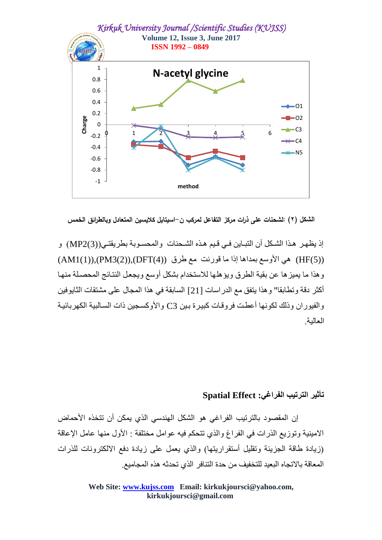

**الشكل )2( :لشحنات عمى ذرات مركز التفاعل لمركب ن-اسيتايل كاليسين المتعادل وبالطرائق الخمس**

إذ يظهر هذا الشكل أن التبـاين فـي قـيم هذه الشـحنات والمحسـوبـة بطريقتـي((3)MP2) و ((4)HF ),(PM3(2)),(DFT(4)) هي الأوسع بمداها إذا ما قورنت مع طرق ((4)OFT(4)),(RM $(1)$ ) وهذا ما يميز ها عن بقية الطرق ويؤ هلها للاستخدام بشكل أوسع ويجعل النتائج المحصلة منها أكثر دقة و تطابقا" و هذا يتفق مع الدر اسات [21] السابقة في هذا المجال على مشتقات الثابو فين و الفيور ان وذلك لكونها أعطت فروقـات كبير ة بـين 3C و الأوكسـجين ذات السـالبية الكهر بـائيـة العالبة

# **جأثير الحرجية الفراغي: Effect Spatial**

إن المقصود بالتر تيب الفر اغي هو الشكل الهندسي الذي يمكن أن تتخذه الأحماض الامينية وتوزيع الذرات في الفراغ والذي تتحكم فيه عوامل مختلفة : الأول منها عامل الإعاقة (زيادة طاقة الجزيئة وتقليل أستقراريتها) والذي يعمل على زيادة دفع الألكترونات للذرات المعاقة بالاتجاه البعيد للتخفيف من حدة الننافر ِ الذي تحدثه هذه المجاميع.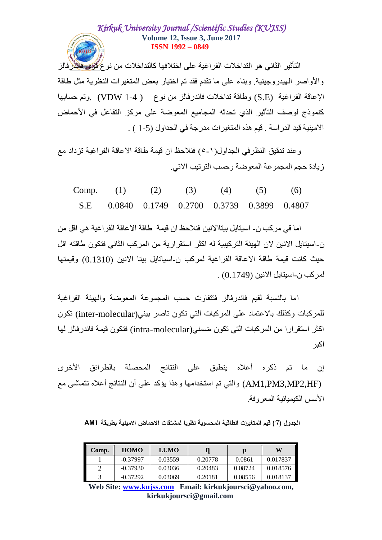التأثير الثاني هو التداخلات الفراغية على اختلافها كالتداخلات من نو ع <mark>گُوَى فلاَ</mark>ذْر فالز والأواصر المهيدر وجينية. وبناء على ما تقدم فقد تم اختيار بعض المتغير ات النظر بة مثل طاقة الإعاقة الفراغية (S.E) وطاقة تداخلات فاندرفالز من نوع ( VDW 1-4 ) وتم حسابها كنموذج لوصف التأثير الذي تحدثه المجاميع المعوضة على مركز التفاعل في الأحماض الامبِنية قيد الدر اسة . قيم هذه المتغير ات مدر جة في الجداول (5-1 ) .

وعند تدقيق النظر في الجداول(١-٥) فنلاحظ ان قيمة طاقة الاعاقة الفر اغية تز داد مع ز بادة حجم المجمو عة المعو ضبة و حسب التر تبب الاتي

| Comp. (1) (2) (3) (4) (5) (6)                 |  |  |  |
|-----------------------------------------------|--|--|--|
| S.E 0.0840 0.1749 0.2700 0.3739 0.3899 0.4807 |  |  |  |

اما في مركب ن- اسبِتابِل ببِتاالِانين فنلاحظ ان فيمة طاقة الإعاقة الفر اغية هي اقل من نِ-اسبِتابِلِ الإنبِنِ لانِ الْهِيئَةِ الَّترِ كيبِيةِ لهِ اكثرِ استقرِ ار يةٍ من الْمرِ كبِ الثّاني فتكونِ طاقتهِ اقل حيث كانت قيمة طاقة الاعاقة الفراغية لمركب ن-اسياتايل بيتا الإنين (0.1310) وقيمتها لمركب ن-اسيتايل الإنين (0.1749) .

اما بِالنسبةُ لقبِم فاندر فالز ۖ فتتفاوت حسبِ المجموعة المعوضية والهبِئة الفر اغبة للمركبات وكذلك بالاعتماد على المركبات التي تكون تاصر بيني(inter-molecular) تكون اكثر استقرارا من المركبات التي تكون ضمني(intra-molecular) فتكون قيمة فاندرفالز لها اكبر

إن ما تم ذكره أعلاه ينطبق على النتائج المحصلة بالطرائق الأخرى (AM1,PM3,MP2,HF) والتي تم استخدامها وهذا يؤكد على أن النتائج أعلاه تتماشى مع الأسس الكبمبائية المعر وفة

**الجدول )7( قيم المتغيرات الطاقية المحسوبة نظريا لمشتقات االحماض االمينية بطريقة 1AM**

| Comp. | <b>HOMO</b> | <b>LUMO</b> |         | μ       | W        |
|-------|-------------|-------------|---------|---------|----------|
|       | $-0.37997$  | 0.03559     | 0.20778 | 0.0861  | 0.017837 |
|       | $-0.37930$  | 0.03036     | 0.20483 | 0.08724 | 0.018576 |
|       | $-0.37292$  | 0.03069     | 0.20181 | 0.08556 | 0.018137 |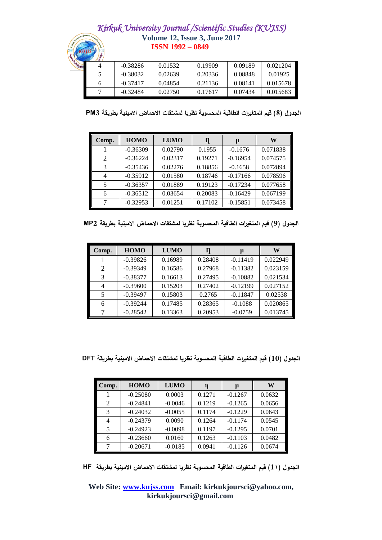| $\sqrt{2}$ |            |         |         |         |          |
|------------|------------|---------|---------|---------|----------|
|            | $-0.38286$ | 0.01532 | 0.19909 | 0.09189 | 0.021204 |
|            | $-0.38032$ | 0.02639 | 0.20336 | 0.08848 | 0.01925  |
| n          | $-0.37417$ | 0.04854 | 0.21136 | 0.08141 | 0.015678 |
|            | $-0.32484$ | 0.02750 | 0.17617 | 0.07434 | 0.015683 |

**الجدول )8( قيم المتغيرات الطاقية المحسوبة نظريا لمشتقات االحماض االمينية بطريقة 3PM** 

| Comp.                    | <b>HOMO</b> | <b>LUMO</b> | Л       | μ          | W        |
|--------------------------|-------------|-------------|---------|------------|----------|
|                          | $-0.36309$  | 0.02790     | 0.1955  | $-0.1676$  | 0.071838 |
| $\mathcal{D}$            | $-0.36224$  | 0.02317     | 0.19271 | $-0.16954$ | 0.074575 |
| 3                        | $-0.35436$  | 0.02276     | 0.18856 | $-0.1658$  | 0.072894 |
| 4                        | $-0.35912$  | 0.01580     | 0.18746 | $-0.17166$ | 0.078596 |
| $\overline{\phantom{0}}$ | $-0.36357$  | 0.01889     | 0.19123 | $-0.17234$ | 0.077658 |
| 6                        | $-0.36512$  | 0.03654     | 0.20083 | $-0.16429$ | 0.067199 |
|                          | $-0.32953$  | 0.01251     | 0.17102 | $-0.15851$ | 0.073458 |

**الجدول )9( قيم المتغيرات الطاقية المحسوبة نظريا لمشتقات االحماض االمينية بطريقة 2MP**

| Comp. | <b>HOMO</b> | <b>LUMO</b> |         | μ          | W        |
|-------|-------------|-------------|---------|------------|----------|
|       | $-0.39826$  | 0.16989     | 0.28408 | $-0.11419$ | 0.022949 |
| 2     | $-0.39349$  | 0.16586     | 0.27968 | $-0.11382$ | 0.023159 |
| 3     | $-0.38377$  | 0.16613     | 0.27495 | $-0.10882$ | 0.021534 |
| 4     | $-0.39600$  | 0.15203     | 0.27402 | $-0.12199$ | 0.027152 |
| 5     | $-0.39497$  | 0.15803     | 0.2765  | $-0.11847$ | 0.02538  |
| 6     | $-0.39244$  | 0.17485     | 0.28365 | $-0.1088$  | 0.020865 |
|       | $-0.28542$  | 0.13363     | 0.20953 | $-0.0759$  | 0.013745 |

**الجدول )10( قيم المتغيرات الطاقية المحسوبة نظريا لمشتقات االحماض االمينية بطريقة DFT**

| Comp. | <b>HOMO</b> | <b>LUMO</b> | η      | μ         | W      |
|-------|-------------|-------------|--------|-----------|--------|
|       | $-0.25080$  | 0.0003      | 0.1271 | $-0.1267$ | 0.0632 |
| 2     | $-0.24841$  | $-0.0046$   | 0.1219 | $-0.1265$ | 0.0656 |
| 3     | $-0.24032$  | $-0.0055$   | 0.1174 | $-0.1229$ | 0.0643 |
| 4     | $-0.24379$  | 0.0090      | 0.1264 | $-0.1174$ | 0.0545 |
|       | $-0.24923$  | $-0.0098$   | 0.1197 | $-0.1295$ | 0.0701 |
| 6     | $-0.23660$  | 0.0160      | 0.1263 | $-0.1103$ | 0.0482 |
|       | $-0.20671$  | $-0.0185$   | 0.0941 | $-0.1126$ | 0.0674 |

**الجدول )11( قيم المتغيرات الطاقية المحسوبة نظريا لمشتقات االحماض االمينية بطريقة HF**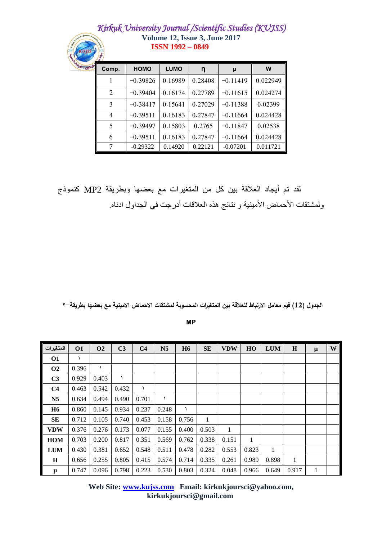| $55^{6}$ | Comp.          | <b>HOMO</b> | <b>LUMO</b> | n       | μ          | W        |  |  |
|----------|----------------|-------------|-------------|---------|------------|----------|--|--|
|          |                | $-0.39826$  | 0.16989     | 0.28408 | $-0.11419$ | 0.022949 |  |  |
|          | 2              | $-0.39404$  | 0.16174     | 0.27789 | $-0.11615$ | 0.024274 |  |  |
|          | 3              | $-0.38417$  | 0.15641     | 0.27029 | $-0.11388$ | 0.02399  |  |  |
|          | $\overline{4}$ | $-0.39511$  | 0.16183     | 0.27847 | $-0.11664$ | 0.024428 |  |  |
|          | 5              | $-0.39497$  | 0.15803     | 0.2765  | $-0.11847$ | 0.02538  |  |  |
|          | 6              | $-0.39511$  | 0.16183     | 0.27847 | $-0.11664$ | 0.024428 |  |  |
|          | 7              | $-0.29322$  | 0.14920     | 0.22121 | $-0.07201$ | 0.011721 |  |  |

لقد تم أيجاد العلاقة بين كل من المتغيرات مع بعضها وبطريقة MP2 كنموذج ولمشتقات الأحماض الأمينية و نتائج هذه العلاقات أدرجت في الجداول ادناه

الجدول (12) قيم معامل الارتباط للعلاقة بين المتغيرات المحسوبة لمشتقات الاحماض الامينية مع بعضها بطريقة–٢

**MP**

| المتغيرات      | <b>O1</b> | <b>O<sub>2</sub></b> | C <sub>3</sub> | C <sub>4</sub> | N <sub>5</sub> | <b>H6</b> | <b>SE</b>    | <b>VDW</b> | HO    | <b>LUM</b>   | $\bf H$ | $\mu$ | W |
|----------------|-----------|----------------------|----------------|----------------|----------------|-----------|--------------|------------|-------|--------------|---------|-------|---|
| <b>O1</b>      |           |                      |                |                |                |           |              |            |       |              |         |       |   |
| <b>O2</b>      | 0.396     |                      |                |                |                |           |              |            |       |              |         |       |   |
| C <sub>3</sub> | 0.929     | 0.403                |                |                |                |           |              |            |       |              |         |       |   |
| C <sub>4</sub> | 0.463     | 0.542                | 0.432          |                |                |           |              |            |       |              |         |       |   |
| N <sub>5</sub> | 0.634     | 0.494                | 0.490          | 0.701          |                |           |              |            |       |              |         |       |   |
| <b>H6</b>      | 0.860     | 0.145                | 0.934          | 0.237          | 0.248          | ١         |              |            |       |              |         |       |   |
| <b>SE</b>      | 0.712     | 0.105                | 0.740          | 0.453          | 0.158          | 0.756     | $\mathbf{1}$ |            |       |              |         |       |   |
| <b>VDW</b>     | 0.376     | 0.276                | 0.173          | 0.077          | 0.155          | 0.400     | 0.503        | 1          |       |              |         |       |   |
| <b>HOM</b>     | 0.703     | 0.200                | 0.817          | 0.351          | 0.569          | 0.762     | 0.338        | 0.151      | 1     |              |         |       |   |
| <b>LUM</b>     | 0.430     | 0.381                | 0.652          | 0.548          | 0.511          | 0.478     | 0.282        | 0.553      | 0.823 | $\mathbf{1}$ |         |       |   |
| H              | 0.656     | 0.255                | 0.805          | 0.415          | 0.574          | 0.714     | 0.335        | 0.261      | 0.989 | 0.898        | 1       |       |   |
| $\pmb{\mu}$    | 0.747     | 0.096                | 0.798          | 0.223          | 0.530          | 0.803     | 0.324        | 0.048      | 0.966 | 0.649        | 0.917   | 1     |   |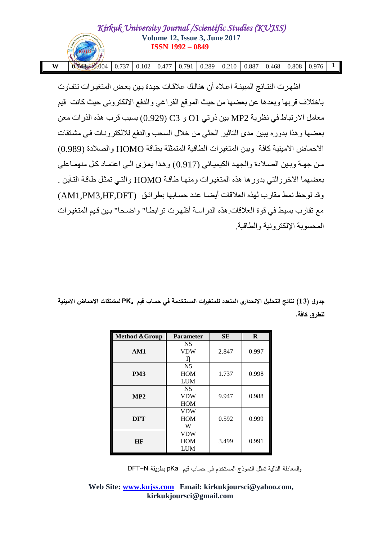| W | $\begin{bmatrix} 0.743 \end{bmatrix}$ $\begin{bmatrix} 0.004 \end{bmatrix}$ 0.737   0.102   0.477   0.791   0.289   0.210   0.887   0.468   0.808   0.976 |  |  |  |  |  |  |
|---|-----------------------------------------------------------------------------------------------------------------------------------------------------------|--|--|--|--|--|--|

اظهر ت النتـائج المبينــة اعـلاه أن هنالك علاقـات جيـدة بـين بعض المتغير ات تتفـاو ت باختلاف قربها وبعدها عن بعضها من حيث الموقع الفراغي والدفع الالكتروني حيث كانت قيم معامل الارتباط في نظرية MP2 بين ذرتي O1 و C3 (0.929) بسبب قرب هذه الذرات معن بعضها وهذا بدوره يبين مدى التاثير الحثي من خلال السحب والدفع للالكترونـات في مشتقات الاحماض الامينية كافة وبين المنغير ات الطاقية المتمثلة بطاقة HOMO و الصلادة (0.989) من جهة وبين الصلادة والجهد الكيميائي (0.917) وهذا يعزي الى اعتمـاد كل منهمـاعلى بعضهما الإخر و التي بدور ها هذه المتغبر ات ومنهـا طاقـة HOMO و التـي تمثّل طـاقـة التـأبن . وقد لوحظ نمط مقارب لهذه العلاقات أيضـا عند حسـابها بطر ائـق (AM1,PM3,HF,DFT) مع تقارب بسيط في قوة العلاقات هذه الدر اسة أظهرت تر ابطـا" و اضـحا" بين قيم المتغير ات المحسوبة الإلكتر ونبة والطاقبة.

**جدول )13( نتائج التحميل االنحداري المتعدد لممتغيرات المستخدمة في حساب قيم PK<sup>a</sup> لمشتقات االحماض االمينية لمطرق كافة.**

| <b>Method &amp;Group</b> | <b>Parameter</b>                           | <b>SE</b> | $\bf{R}$ |
|--------------------------|--------------------------------------------|-----------|----------|
| AM1                      | N <sub>5</sub><br><b>VDW</b>               | 2.847     | 0.997    |
| PM <sub>3</sub>          | N <sub>5</sub><br><b>HOM</b><br><b>LUM</b> | 1.737     | 0.998    |
| MP2                      | N <sub>5</sub><br><b>VDW</b><br><b>HOM</b> | 9.947     | 0.988    |
| <b>DFT</b>               | <b>VDW</b><br><b>HOM</b><br>W              | 0.592     | 0.999    |
| <b>HF</b>                | <b>VDW</b><br><b>HOM</b><br><b>LUM</b>     | 3.499     | 0.991    |

والمعادلة التالية تمثل النموذج المستخدم في حساب قيم pKa بطريقة N-DFT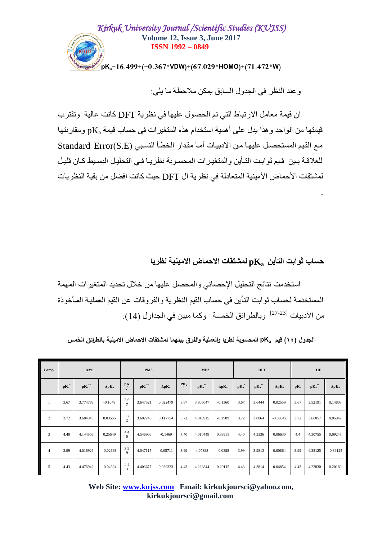

وعند النظر في الجدول السابق يمكن ملاحظة ما يلي:

ان قيمة معامل الار تباط التي تم الحصول عليها في نظرية DFT كانت عالية وتقترب قيمتها من الواحد وهذا يدل على أهمية استخدام هذه المتغيرات في حساب قيمة  $\rm{pK_a}$  ومقارنتها مع القيم المستحصل عليها من الادبيات أما مقدار الخطأ النسبي Standard Error(S.E) للعلاقـة بـين ٍ قيم ثوابـت التـأين و المتغير ات المحسـوبة نظر يـا فـي التحليـل البسـيط كـان قليـل لمشتقات الأحماض الأمينية المتعادلة في نظر ية ال DFT حيث كانت افضل من بقية النظر يات

**حساب ثىاتث الحأين pK<sup>a</sup> لمشحقات االحماض االمينية نظريا**

.

استخدمت نتائج التحليل الإحصائي والمحصل عليها من خلال تحديد المتغير ات المهمة المستخدمة لحساب ثو ابت التأين في حساب القيم النظرية و الفر و قات عن القيم العمليـة المـأخو ذة مِن الأدبيات <sup>[23-23]</sup> وبالطر ائق الخمسة وكما مبين في الجداول (14).

**الجدول )11( قيم pK<sup>a</sup> المحسوبة نظريا والعممية والفرق بينهما لمشتقات االحماض االمينية بالطرائق الخمس**

| Comp.          | AM1                   |                      |               | PM3                               |                                       |               |                 | MP2                  |               |                          | <b>DFT</b>        |               |        | HF                   |               |  |
|----------------|-----------------------|----------------------|---------------|-----------------------------------|---------------------------------------|---------------|-----------------|----------------------|---------------|--------------------------|-------------------|---------------|--------|----------------------|---------------|--|
|                | $\mathbf{pK}_{a}^{*}$ | $\mathbf{pK_a}^{*0}$ | $\Delta pK_a$ | $p_{\frac{1}{s}}$<br>$\mathbf{a}$ | $\mathbf{pK}_{\mathbf{a}}^{\ast\ast}$ | $\Delta pK_a$ | PK <sub>a</sub> | $\mathbf{pK_a}^{*0}$ | $\Delta pK_a$ | $\mathbf{pK}_{a}^{\ast}$ | $\mathbf{pK_a}^*$ | $\Delta pK_a$ | $pK_a$ | $\mathbf{pK_a}^{*0}$ | $\Delta pK_a$ |  |
|                | 3.67                  | 3.774799             | $-0.1048$     | 3.6<br>$\overline{ }$             | 3.647521                              | 0.022479      | 3.67            | 3.806047             | $-0.1360$     | 3.67                     | 3.6444            | 0.02559       | 3.67   | 3.52191              | 0.14808       |  |
| $\overline{2}$ | 3.72                  | 3.684343             | 0.03565       | 3.7<br>$\overline{c}$             | 3.602246                              | 0.117754      | 3.72            | 4.010915             | $-0.2909$     | 3.72                     | 3.8064            | $-0.08642$    | 3.72   | 3.66057              | 0.05942       |  |
| 3              | 4.40                  | 4.144506             | 0.25549       | 4.4<br>$\Omega$                   | 4.546900                              | $-0.1469$     | 4.40            | 4.010449             | 0.38955       | 4.40                     | 4.3336            | 0.06630       | 4.4    | 4.30755              | 0.09245       |  |
| $\overline{4}$ | 3.99                  | 4.016926             | $-0.02693$    | 3.9<br>$\mathbf{Q}$               | 4.047115                              | $-0.05711$    | 3.99            | 4.07888              | $-0.0888$     | 3.99                     | 3.9813            | 0.00864       | 3.99   | 4.38125              | $-0.39125$    |  |
| 5              | 4.43                  | 4.476942             | $-0.04694$    | 4.4<br>$\overline{3}$             | 4.403677                              | 0.026323      | 4.43            | 4.228844             | 0.20115       | 4.43                     | 4.3814            | 0.04854       | 4.43   | 4.22830              | 0.20169       |  |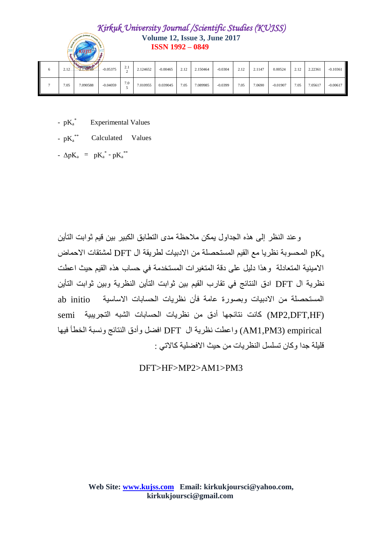| 2.12 | $\sim$<br>$\sim$<br>City 1311 79749 | $-0.05375$ | $\sim$ $\sim$<br>4.1 | 2.124652 | $-0.00465$ | 2.12 | 2.150464 | $-0.0304$ | 2.12 | 2.1147 | 0.00524    | 2.12 | 2.22361 | $-0.10361$ |
|------|-------------------------------------|------------|----------------------|----------|------------|------|----------|-----------|------|--------|------------|------|---------|------------|
| 7.05 | 7.090588                            | $-0.04059$ | 7.0                  | 7.010955 | 0.039045   | 7.05 | 7.089985 | $-0.0399$ | 7.05 | 7.0690 | $-0.01907$ | 7.05 | 7.05617 | $-0.00617$ |

- $pK_a^*$  Experimental Values
- $pK_a^{**}$  Calculated Values
- $\Delta pK_a$  =  $pK_a^*$   $pK_a^*$

و عند النظر إلى هذه الجداول يمكن ملاحظة مدى التطابق الكبير بين قيم ثوابت التأين المحسوبة نظريا مع القيم المستحصلة من الادبيات لطريقة ال $\rm{DFT}$  لمشتقات الاحماض pK $_{\rm a}$ الامبِنية المتعادلة وهذا دليل على دقة المتغيرات المستخدمة في حساب هذه القيم حيث اعطت نظرية ال DFT ادق النتائج في تقارب القيم بين ثوابت التأين النظرية وبين ثوابت التأين ab initio المستحصلة من الادبيات وبصورة عامة فأن نظريات الحسابات الاساسية ab initio (MP2.DFT.HF) كانت نتائجها أدق من نظريات الحسابات الشبه التجريبية semi empirical) واعطت نظرية ال DFT افضل وأدق النتائج ونسبة الخطأ فيها قليلة جدا وكان تسلسل النظريات من حيث الافضلية كالاتي :

DFT>HF>MP2>AM1>PM3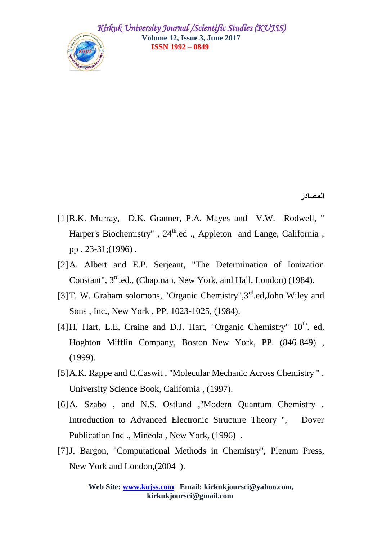

**المصادر**

- [1]R.K. Murray, D.K. Granner, P.A. Mayes and V.W. Rodwell, '' Harper's Biochemistry", 24<sup>th</sup>.ed., Appleton and Lange, California, pp . 23-31;(1996) .
- [2]A. Albert and E.P. Serjeant, "The Determination of Ionization Constant", 3<sup>rd</sup>.ed., (Chapman, New York, and Hall, London) (1984).
- [3] T. W. Graham solomons, "Organic Chemistry", 3<sup>rd</sup>.ed, John Wiley and Sons , Inc., New York , PP. 1023-1025, (1984).
- [4] H. Hart, L.E. Craine and D.J. Hart, "Organic Chemistry"  $10^{th}$ . ed, Hoghton Mifflin Company, Boston–New York, PP. (846-849) , (1999).
- [5]A.K. Rappe and C.Caswit , ''Molecular Mechanic Across Chemistry '' , University Science Book, California , (1997).
- [6]A. Szabo , and N.S. Ostlund ,''Modern Quantum Chemistry . Introduction to Advanced Electronic Structure Theory '', Dover Publication Inc ., Mineola , New York, (1996) .
- [7]J. Bargon, ''Computational Methods in Chemistry'', Plenum Press, New York and London,(2004 ).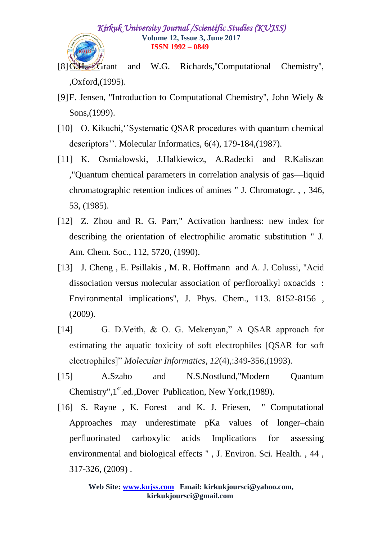- [8]G.H. Grant and W.G. Richards,''Computational Chemistry'', ,Oxford,(1995).
- [9]F. Jensen, ''Introduction to Computational Chemistry'', John Wiely & Sons, (1999).
- [10] O. Kikuchi, "Systematic QSAR procedures with quantum chemical descriptors''. Molecular Informatics, 6(4), 179-184,(1987).
- [11] K. Osmialowski, J.Halkiewicz, A.Radecki and R.Kaliszan ,"Quantum chemical parameters in correlation analysis of gas—liquid chromatographic retention indices of amines " J. Chromatogr. , , 346, 53, (1985).
- [12] Z. Zhou and R. G. Parr," Activation hardness: new index for describing the orientation of electrophilic aromatic substitution " J. Am. Chem. Soc., 112, 5720, (1990).
- [13] J. Cheng, E. Psillakis, M. R. Hoffmann and A. J. Colussi, "Acid dissociation versus molecular association of perfloroalkyl oxoacids : Environmental implications'', J. Phys. Chem., 113. 8152-8156 , (2009).
- [14] G. D.Veith, & O. G. Mekenyan," A QSAR approach for estimating the aquatic toxicity of soft electrophiles [QSAR for soft electrophiles]" *Molecular Informatics*,  $12(4)$ ,:349-356,(1993).
- [15] A.Szabo and N.S.Nostlund,"Modern Quantum Chemistry",  $1<sup>st</sup>$ .ed., Dover Publication, New York, (1989).
- [16] S. Rayne, K. Forest and K. J. Friesen, "Computational Approaches may underestimate pKa values of longer–chain perfluorinated carboxylic acids Implications for assessing environmental and biological effects '' , J. Environ. Sci. Health. , 44 , 317-326, (2009) .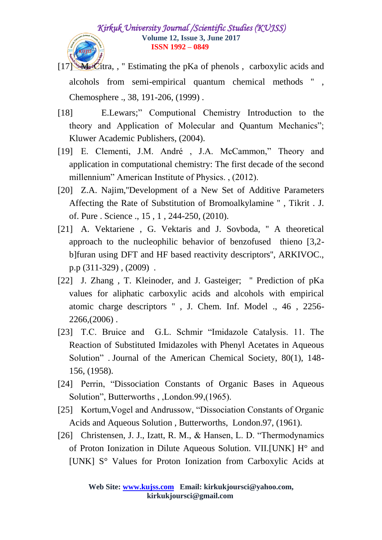- [17] M. Citra, , " Estimating the pKa of phenols, carboxylic acids and alcohols from semi-empirical quantum chemical methods '' , Chemosphere ., 38, 191-206, (1999) .
- [18] E.Lewars;" Computional Chemistry Introduction to the theory and Application of Molecular and Quantum Mechanics"; Kluwer Academic Publishers, (2004).
- [19] E. Clementi, J.M. André , J.A. McCammon," Theory and application in computational chemistry: The first decade of the second millennium" American Institute of Physics., (2012).
- [20] Z.A. Najim,''Development of a New Set of Additive Parameters Affecting the Rate of Substitution of Bromoalkylamine '' , Tikrit . J. of. Pure . Science ., 15 , 1 , 244-250, (2010).
- [21] A. Vektariene, G. Vektaris and J. Sovboda, "A theoretical approach to the nucleophilic behavior of benzofused thieno [3,2 b]furan using DFT and HF based reactivity descriptors'', ARKIVOC., p.p (311-329) , (2009) .
- [22] J. Zhang , T. Kleinoder, and J. Gasteiger; '' Prediction of pKa values for aliphatic carboxylic acids and alcohols with empirical atomic charge descriptors '' , J. Chem. Inf. Model ., 46 , 2256- 2266,(2006) .
- [23] T.C. Bruice and G.L. Schmir "Imidazole Catalysis. 11. The Reaction of Substituted Imidazoles with Phenyl Acetates in Aqueous Solution" . Journal of the American Chemical Society, 80(1), 148-156, (1958).
- [24] Perrin, "Dissociation Constants of Organic Bases in Aqueous Solution", Butterworths , ,London.99,(1965).
- [25] Kortum, Vogel and Andrussow, "Dissociation Constants of Organic Acids and Aqueous Solution , Butterworths, London.97, (1961).
- [26] Christensen, J. J., Izatt, R. M., & Hansen, L. D. "Thermodynamics" of Proton Ionization in Dilute Aqueous Solution. VII.[UNK] H° and [UNK] S° Values for Proton Ionization from Carboxylic Acids at